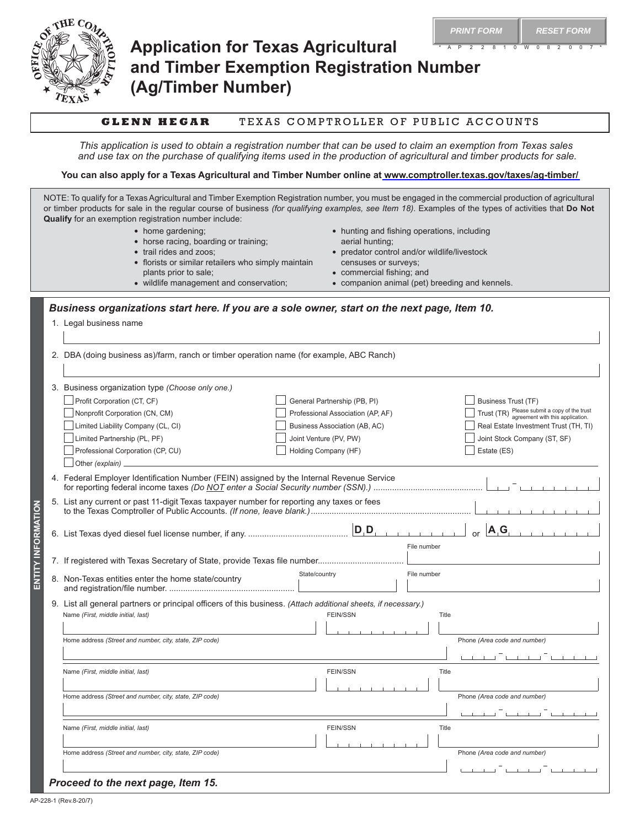

# **Application for Texas Agricultural and Timber Exemption Registration Number (Ag/Timber Number)**

### **GLENN HEGAR** TEXAS COMPTROLLER OF PUBLIC ACCOUNTS

*This application is used to obtain a registration number that can be used to claim an exemption from Texas sales and use tax on the purchase of qualifying items used in the production of agricultural and timber products for sale.*

**You can also apply for a Texas Agricultural and Timber Number online at [www.comptroller.texas.gov/taxes/ag-timber/](https://www.comptroller.texas.gov/taxes/ag-timber/)**

NOTE: To qualify for a Texas Agricultural and Timber Exemption Registration number, you must be engaged in the commercial production of agricultural or timber products for sale in the regular course of business *(for qualifying examples, see Item 18)*. Examples of the types of activities that **Do Not Qualify** for an exemption registration number include: • hunting and fishing operations, including

- home gardening;
- horse racing, boarding or training;
- trail rides and zoos;
- florists or similar retailers who simply maintain plants prior to sale;
	-
- wildlife management and conservation;
- predator control and/or wildlife/livestock censuses or surveys;

**PRINT FORM RESET FORM** 

• commercial fishing; and

aerial hunting;

• companion animal (pet) breeding and kennels.

### *Business organizations start here. If you are a sole owner, start on the next page, Item 10.*

|  | 1. Legal business name |  |
|--|------------------------|--|
|  |                        |  |

| 2. DBA (doing business as)/farm, ranch or timber operation name (for example, ABC Ranch)   |                                                                                                                |                                                                                                                                                                                                                                      |  |  |
|--------------------------------------------------------------------------------------------|----------------------------------------------------------------------------------------------------------------|--------------------------------------------------------------------------------------------------------------------------------------------------------------------------------------------------------------------------------------|--|--|
| 3. Business organization type (Choose only one.)                                           |                                                                                                                |                                                                                                                                                                                                                                      |  |  |
| Profit Corporation (CT, CF)                                                                | General Partnership (PB, PI)                                                                                   | <b>Business Trust (TF)</b>                                                                                                                                                                                                           |  |  |
| Nonprofit Corporation (CN, CM)                                                             | Professional Association (AP, AF)                                                                              | Trust (TR) Please submit a copy of the trust<br>agreement with this application.                                                                                                                                                     |  |  |
| Limited Liability Company (CL, CI)                                                         | Business Association (AB, AC)                                                                                  | Real Estate Investment Trust (TH, TI)                                                                                                                                                                                                |  |  |
| Limited Partnership (PL, PF)                                                               | Joint Venture (PV, PW)                                                                                         | Joint Stock Company (ST, SF)                                                                                                                                                                                                         |  |  |
| Professional Corporation (CP, CU)                                                          | Holding Company (HF)                                                                                           | Estate (ES)                                                                                                                                                                                                                          |  |  |
| Other (explain) _                                                                          |                                                                                                                |                                                                                                                                                                                                                                      |  |  |
| 4. Federal Employer Identification Number (FEIN) assigned by the Internal Revenue Service  |                                                                                                                |                                                                                                                                                                                                                                      |  |  |
| 5. List any current or past 11-digit Texas taxpayer number for reporting any taxes or fees |                                                                                                                |                                                                                                                                                                                                                                      |  |  |
|                                                                                            | File number                                                                                                    | A, G                                                                                                                                                                                                                                 |  |  |
|                                                                                            |                                                                                                                |                                                                                                                                                                                                                                      |  |  |
| 8. Non-Texas entities enter the home state/country                                         | State/country<br>File number                                                                                   |                                                                                                                                                                                                                                      |  |  |
|                                                                                            | 9. List all general partners or principal officers of this business. (Attach additional sheets, if necessary.) |                                                                                                                                                                                                                                      |  |  |
| Name (First, middle initial, last)                                                         | <b>FEIN/SSN</b><br>Title                                                                                       |                                                                                                                                                                                                                                      |  |  |
|                                                                                            |                                                                                                                |                                                                                                                                                                                                                                      |  |  |
| Home address (Street and number, city, state, ZIP code)                                    |                                                                                                                | Phone (Area code and number)                                                                                                                                                                                                         |  |  |
|                                                                                            |                                                                                                                |                                                                                                                                                                                                                                      |  |  |
| Name (First, middle initial, last)                                                         | <b>FEIN/SSN</b><br>Title                                                                                       |                                                                                                                                                                                                                                      |  |  |
|                                                                                            |                                                                                                                |                                                                                                                                                                                                                                      |  |  |
| Home address (Street and number, city, state, ZIP code)                                    |                                                                                                                | Phone (Area code and number)                                                                                                                                                                                                         |  |  |
|                                                                                            |                                                                                                                | <u>the community of the community of the community of the community of the community of the community of the community of the community of the community of the community of the community of the community of the community of </u> |  |  |
| Name (First, middle initial, last)                                                         | <b>FEIN/SSN</b><br>Title                                                                                       |                                                                                                                                                                                                                                      |  |  |
|                                                                                            |                                                                                                                |                                                                                                                                                                                                                                      |  |  |
| Home address (Street and number, city, state, ZIP code)                                    |                                                                                                                | Phone (Area code and number)                                                                                                                                                                                                         |  |  |
|                                                                                            |                                                                                                                | a sa Taon an Taon an T                                                                                                                                                                                                               |  |  |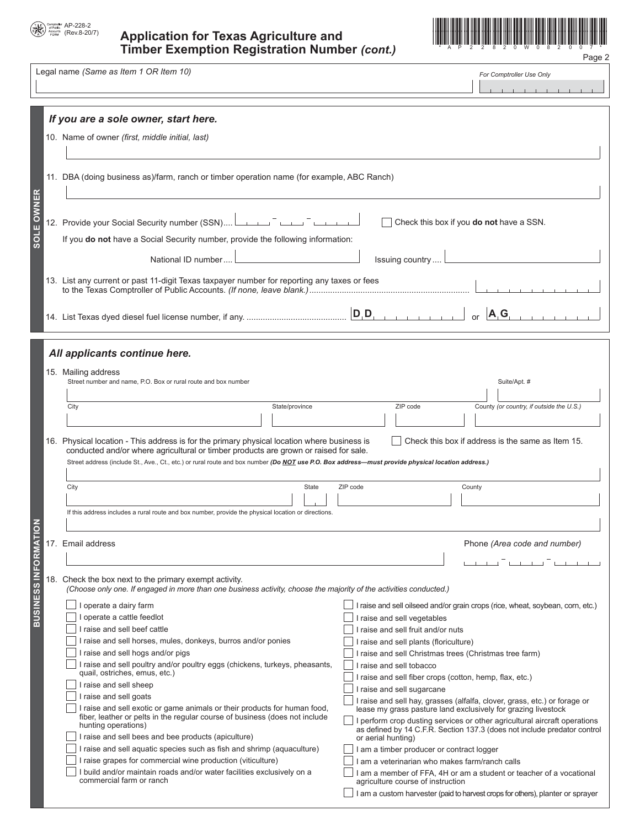

## (Rev.8-20/7) **Application for Texas Agriculture and Timber Exemption Registration Number** *(cont.)* Page 2



Legal name *(Same as Item 1 OR Item 10)*

*For Comptroller Use Only* **Contractor**  $\sim$  $\overline{1}$ 

|                        | If you are a sole owner, start here.                                                                                                                                                                                                                                            |                                                                                                                                                                                                                        |  |  |  |  |
|------------------------|---------------------------------------------------------------------------------------------------------------------------------------------------------------------------------------------------------------------------------------------------------------------------------|------------------------------------------------------------------------------------------------------------------------------------------------------------------------------------------------------------------------|--|--|--|--|
|                        | 10. Name of owner (first, middle initial, last)                                                                                                                                                                                                                                 |                                                                                                                                                                                                                        |  |  |  |  |
|                        |                                                                                                                                                                                                                                                                                 |                                                                                                                                                                                                                        |  |  |  |  |
|                        | 11. DBA (doing business as)/farm, ranch or timber operation name (for example, ABC Ranch)                                                                                                                                                                                       |                                                                                                                                                                                                                        |  |  |  |  |
| OWNER<br>$\frac{1}{2}$ | 12. Provide your Social Security number (SSN) [[[[COLORGIVER THE TERM]]<br>If you do not have a Social Security number, provide the following information:<br>National ID number<br>13. List any current or past 11-digit Texas taxpayer number for reporting any taxes or fees | Check this box if you do not have a SSN.<br>Issuing country<br>$\left  \mathbf{D}, \mathbf{D}, \ldots, \mathbf{D}, \mathbf{D} \right $<br>A, G<br>$\alpha$ r                                                           |  |  |  |  |
|                        |                                                                                                                                                                                                                                                                                 |                                                                                                                                                                                                                        |  |  |  |  |
|                        | All applicants continue here.                                                                                                                                                                                                                                                   |                                                                                                                                                                                                                        |  |  |  |  |
|                        | 15. Mailing address                                                                                                                                                                                                                                                             |                                                                                                                                                                                                                        |  |  |  |  |
|                        | Street number and name, P.O. Box or rural route and box number                                                                                                                                                                                                                  | Suite/Apt. #                                                                                                                                                                                                           |  |  |  |  |
|                        |                                                                                                                                                                                                                                                                                 |                                                                                                                                                                                                                        |  |  |  |  |
|                        | City<br>State/province                                                                                                                                                                                                                                                          | County (or country, if outside the U.S.)<br>ZIP code                                                                                                                                                                   |  |  |  |  |
|                        |                                                                                                                                                                                                                                                                                 |                                                                                                                                                                                                                        |  |  |  |  |
|                        | conducted and/or where agricultural or timber products are grown or raised for sale.<br>Street address (include St., Ave., Ct., etc.) or rural route and box number (Do NOT use P.O. Box address-must provide physical location address.)<br>City<br>State                      | ZIP code<br>County                                                                                                                                                                                                     |  |  |  |  |
|                        |                                                                                                                                                                                                                                                                                 |                                                                                                                                                                                                                        |  |  |  |  |
|                        | If this address includes a rural route and box number, provide the physical location or directions.                                                                                                                                                                             |                                                                                                                                                                                                                        |  |  |  |  |
| $\overline{6}$         |                                                                                                                                                                                                                                                                                 |                                                                                                                                                                                                                        |  |  |  |  |
|                        | 17. Email address                                                                                                                                                                                                                                                               | Phone (Area code and number)                                                                                                                                                                                           |  |  |  |  |
|                        |                                                                                                                                                                                                                                                                                 |                                                                                                                                                                                                                        |  |  |  |  |
| <b>BUSINESS IN</b>     | 18. Check the box next to the primary exempt activity.<br>(Choose only one. If engaged in more than one business activity, choose the majority of the activities conducted.)                                                                                                    | the contract of the contract of the contract of                                                                                                                                                                        |  |  |  |  |
|                        | I operate a dairy farm                                                                                                                                                                                                                                                          | I raise and sell oilseed and/or grain crops (rice, wheat, soybean, corn, etc.)                                                                                                                                         |  |  |  |  |
|                        | operate a cattle feedlot                                                                                                                                                                                                                                                        | I raise and sell vegetables                                                                                                                                                                                            |  |  |  |  |
|                        | I raise and sell beef cattle<br>I raise and sell horses, mules, donkeys, burros and/or ponies                                                                                                                                                                                   | I raise and sell fruit and/or nuts                                                                                                                                                                                     |  |  |  |  |
|                        | I raise and sell hogs and/or pigs                                                                                                                                                                                                                                               | I raise and sell plants (floriculture)<br>I raise and sell Christmas trees (Christmas tree farm)                                                                                                                       |  |  |  |  |
|                        | I raise and sell poultry and/or poultry eggs (chickens, turkeys, pheasants,                                                                                                                                                                                                     | raise and sell tobacco                                                                                                                                                                                                 |  |  |  |  |
|                        | quail, ostriches, emus, etc.)                                                                                                                                                                                                                                                   | I raise and sell fiber crops (cotton, hemp, flax, etc.)                                                                                                                                                                |  |  |  |  |
|                        | I raise and sell sheep                                                                                                                                                                                                                                                          | I raise and sell sugarcane                                                                                                                                                                                             |  |  |  |  |
|                        | I raise and sell goats                                                                                                                                                                                                                                                          | I raise and sell hay, grasses (alfalfa, clover, grass, etc.) or forage or                                                                                                                                              |  |  |  |  |
|                        | I raise and sell exotic or game animals or their products for human food,<br>fiber, leather or pelts in the regular course of business (does not include<br>hunting operations)                                                                                                 | lease my grass pasture land exclusively for grazing livestock<br>I perform crop dusting services or other agricultural aircraft operations<br>as defined by 14 C.F.R. Section 137.3 (does not include predator control |  |  |  |  |
|                        | I raise and sell bees and bee products (apiculture)                                                                                                                                                                                                                             | or aerial hunting)                                                                                                                                                                                                     |  |  |  |  |
|                        | I raise and sell aquatic species such as fish and shrimp (aquaculture)                                                                                                                                                                                                          | I am a timber producer or contract logger                                                                                                                                                                              |  |  |  |  |
|                        | I raise grapes for commercial wine production (viticulture)<br>I build and/or maintain roads and/or water facilities exclusively on a                                                                                                                                           | I am a veterinarian who makes farm/ranch calls<br>I am a member of FFA, 4H or am a student or teacher of a vocational                                                                                                  |  |  |  |  |
|                        | commercial farm or ranch                                                                                                                                                                                                                                                        | agriculture course of instruction                                                                                                                                                                                      |  |  |  |  |
|                        |                                                                                                                                                                                                                                                                                 | I am a custom harvester (paid to harvest crops for others), planter or sprayer                                                                                                                                         |  |  |  |  |